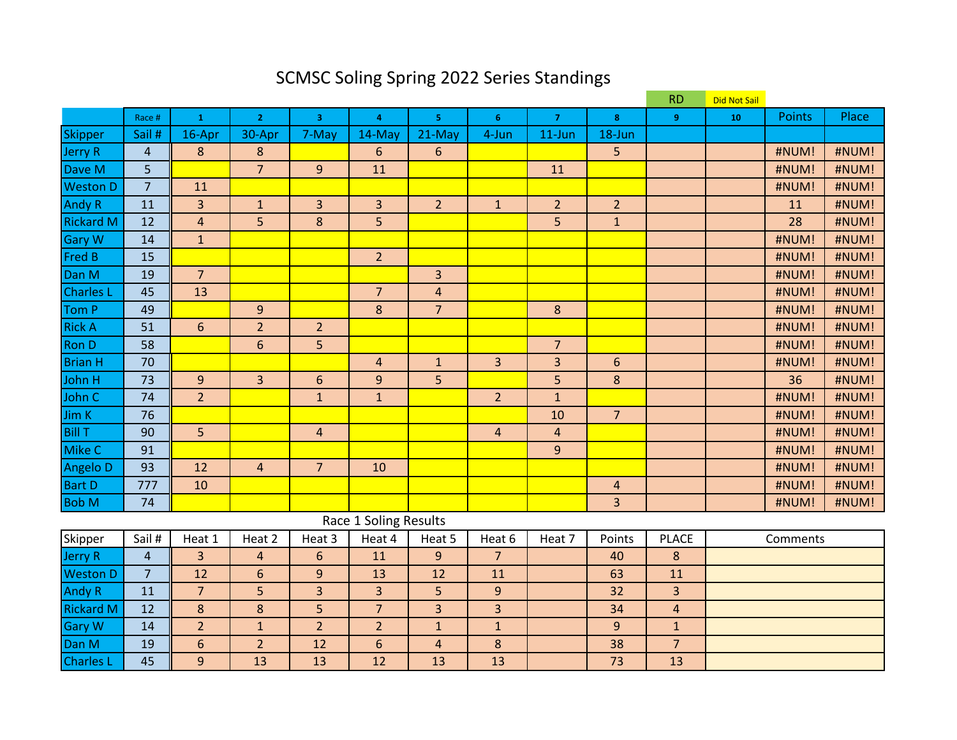# SCMSC Soling Spring 2022 Series Standings

|                  |                |                         |                |                  |                       |                         |                |                |                  | <b>RD</b>      | <b>Did Not Sail</b> |               |       |
|------------------|----------------|-------------------------|----------------|------------------|-----------------------|-------------------------|----------------|----------------|------------------|----------------|---------------------|---------------|-------|
|                  | Race #         | $\mathbf{1}$            | $\overline{2}$ | $\overline{3}$   | $\overline{4}$        | 5 <sup>1</sup>          | 6              | $\overline{7}$ | 8                | 9 <sup>°</sup> | 10                  | <b>Points</b> | Place |
| <b>Skipper</b>   | Sail #         | 16-Apr                  | 30-Apr         | 7-May            | 14-May                | 21-May                  | 4-Jun          | $11$ -Jun      | 18-Jun           |                |                     |               |       |
| <b>Jerry R</b>   | $\overline{4}$ | $\bf 8$                 | $\bf 8$        |                  | 6                     | $6\phantom{1}$          |                |                | 5                |                |                     | #NUM!         | #NUM! |
| Dave M           | 5              |                         | $\overline{7}$ | 9                | 11                    |                         |                | 11             |                  |                |                     | #NUM!         | #NUM! |
| <b>Weston D</b>  | $\overline{7}$ | 11                      |                |                  |                       |                         |                |                |                  |                |                     | #NUM!         | #NUM! |
| <b>Andy R</b>    | 11             | 3                       | $\mathbf{1}$   | 3                | 3                     | $\overline{2}$          | $\mathbf{1}$   | $\overline{2}$ | $\overline{2}$   |                |                     | 11            | #NUM! |
| <b>Rickard M</b> | 12             | $\overline{\mathbf{4}}$ | 5              | 8                | 5                     |                         |                | 5              | $\mathbf{1}$     |                |                     | 28            | #NUM! |
| <b>Gary W</b>    | 14             | $\mathbf{1}$            |                |                  |                       |                         |                |                |                  |                |                     | #NUM!         | #NUM! |
| Fred B           | 15             |                         |                |                  | $\overline{2}$        |                         |                |                |                  |                |                     | #NUM!         | #NUM! |
| Dan M            | 19             | $\overline{7}$          |                |                  |                       | 3                       |                |                |                  |                |                     | #NUM!         | #NUM! |
| <b>Charles L</b> | 45             | 13                      |                |                  | $\overline{7}$        | $\overline{4}$          |                |                |                  |                |                     | #NUM!         | #NUM! |
| Tom P            | 49             |                         | $\overline{9}$ |                  | 8                     | $\overline{7}$          |                | 8              |                  |                |                     | #NUM!         | #NUM! |
| <b>Rick A</b>    | 51             | $\sqrt{6}$              | $\overline{2}$ | $\overline{2}$   |                       |                         |                |                |                  |                |                     | #NUM!         | #NUM! |
| <b>Ron D</b>     | 58             |                         | 6              | $\overline{5}$   |                       |                         |                | $\overline{7}$ |                  |                |                     | #NUM!         | #NUM! |
| <b>Brian H</b>   | 70             |                         |                |                  | $\overline{4}$        | $\mathbf{1}$            | 3              | 3              | $6\phantom{1}$   |                |                     | #NUM!         | #NUM! |
| John H           | 73             | $\boldsymbol{9}$        | $\overline{3}$ | $\boldsymbol{6}$ | $\boldsymbol{9}$      | 5                       |                | 5              | $\bf 8$          |                |                     | 36            | #NUM! |
| John C           | 74             | $\overline{2}$          |                | $\mathbf{1}$     | $\mathbf{1}$          |                         | $\overline{2}$ | $\mathbf{1}$   |                  |                |                     | #NUM!         | #NUM! |
| Jim K            | 76             |                         |                |                  |                       |                         |                | 10             | $\overline{7}$   |                |                     | #NUM!         | #NUM! |
| <b>Bill T</b>    | 90             | 5                       |                | $\overline{4}$   |                       |                         | $\overline{4}$ | $\overline{4}$ |                  |                |                     | #NUM!         | #NUM! |
| Mike C           | 91             |                         |                |                  |                       |                         |                | $\overline{9}$ |                  |                |                     | #NUM!         | #NUM! |
| Angelo D         | 93             | 12                      | $\overline{4}$ | $\overline{7}$   | 10                    |                         |                |                |                  |                |                     | #NUM!         | #NUM! |
| <b>Bart D</b>    | 777            | 10                      |                |                  |                       |                         |                |                | $\overline{4}$   |                |                     | #NUM!         | #NUM! |
| <b>Bob M</b>     | 74             |                         |                |                  |                       |                         |                |                | 3                |                |                     | #NUM!         | #NUM! |
|                  |                |                         |                |                  | Race 1 Soling Results |                         |                |                |                  |                |                     |               |       |
| <b>Skipper</b>   | Sail#          | Heat 1                  | Heat 2         | Heat 3           | Heat 4                | Heat 5                  | Heat 6         | Heat 7         | Points           | <b>PLACE</b>   |                     | Comments      |       |
| <b>Jerry R</b>   | $\overline{4}$ | 3                       | $\overline{4}$ | $6\phantom{1}$   | 11                    | 9                       | $\overline{7}$ |                | 40               | $\bf 8$        |                     |               |       |
| <b>Weston D</b>  | $\overline{7}$ | 12                      | $6\,$          | 9                | 13                    | 12                      | 11             |                | 63               | 11             |                     |               |       |
| <b>Andy R</b>    | 11             | $\overline{7}$          | 5              | 3                | $\overline{3}$        | 5                       | 9              |                | 32               | $\overline{3}$ |                     |               |       |
| <b>Rickard M</b> | 12             | $\boldsymbol{8}$        | 8              | 5                | $\overline{7}$        | $\overline{3}$          | 3              |                | 34               | $\overline{4}$ |                     |               |       |
| <b>Gary W</b>    | 14             | $\overline{2}$          | $\mathbf{1}$   | $\overline{2}$   | $\overline{2}$        | $\mathbf 1$             | $\mathbf{1}$   |                | $\boldsymbol{9}$ | $\mathbf{1}$   |                     |               |       |
| Dan M            | 19             | 6                       | $\overline{2}$ | 12               | $6\phantom{1}6$       | $\overline{\mathbf{4}}$ | $\bf 8$        |                | 38               | $\overline{7}$ |                     |               |       |
| <b>Charles L</b> | 45             | 9                       | 13             | 13               | 12                    | 13                      | 13             |                | 73               | 13             |                     |               |       |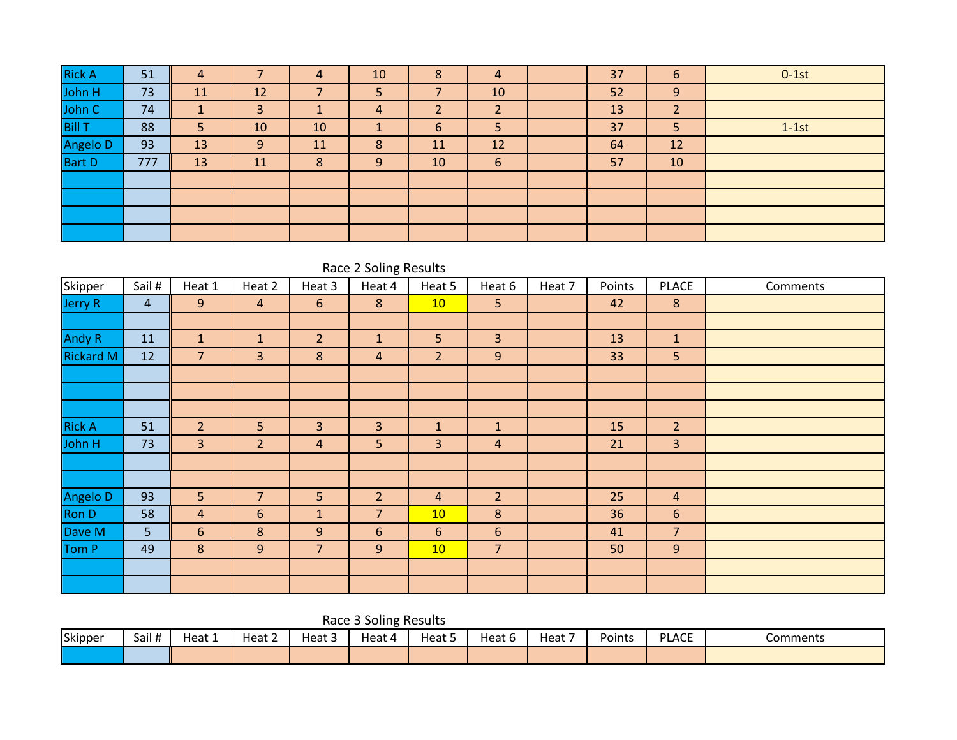| <b>Rick A</b> | 51  | 4                          |           | 4  | 10             | 8  | 4  | 37 | 6              | $0-1st$ |
|---------------|-----|----------------------------|-----------|----|----------------|----|----|----|----------------|---------|
| John H        | 73  | <b>11</b>                  | 12        |    |                |    | 10 | 52 | 9              |         |
| John C        | 74  | $\boldsymbol{\mathcal{A}}$ | 3         |    | $\overline{4}$ |    |    | 13 | $\overline{2}$ |         |
| <b>Bill T</b> | 88  | 5                          | 10        | 10 |                | 6  | 5  | 37 | 5              | $1-1st$ |
| Angelo D      | 93  | 13                         | 9         | 11 | 8              | 11 | 12 | 64 | 12             |         |
| <b>Bart D</b> | 777 | 13                         | <b>11</b> |    | 9              | 10 | 6  | 57 | 10             |         |
|               |     |                            |           |    |                |    |    |    |                |         |
|               |     |                            |           |    |                |    |    |    |                |         |
|               |     |                            |           |    |                |    |    |    |                |         |
|               |     |                            |           |    |                |    |    |    |                |         |

|                  |                |                |                |                | Race 2 Soling Results |                |                 |        |        |                |          |
|------------------|----------------|----------------|----------------|----------------|-----------------------|----------------|-----------------|--------|--------|----------------|----------|
| Skipper          | Sail #         | Heat 1         | Heat 2         | Heat 3         | Heat 4                | Heat 5         | Heat 6          | Heat 7 | Points | <b>PLACE</b>   | Comments |
| Jerry R          | $\overline{4}$ | 9              | $\overline{4}$ | 6              | $8\phantom{1}$        | 10             | 5               |        | 42     | $\bf 8$        |          |
|                  |                |                |                |                |                       |                |                 |        |        |                |          |
| <b>Andy R</b>    | 11             | $\mathbf{1}$   | $\mathbf{1}$   | $\overline{2}$ | $\mathbf{1}$          | 5              | $\overline{3}$  |        | 13     | $\mathbf{1}$   |          |
| <b>Rickard M</b> | 12             | $\overline{7}$ | 3 <sup>1</sup> | $\bf 8$        | $\overline{4}$        | $\overline{2}$ | 9               |        | 33     | 5              |          |
|                  |                |                |                |                |                       |                |                 |        |        |                |          |
|                  |                |                |                |                |                       |                |                 |        |        |                |          |
|                  |                |                |                |                |                       |                |                 |        |        |                |          |
| <b>Rick A</b>    | 51             | $\overline{2}$ | 5              | 3              | $\overline{3}$        | $\mathbf{1}$   | $\mathbf{1}$    |        | 15     | $\overline{2}$ |          |
| John H           | 73             | $\overline{3}$ | $\overline{2}$ | 4              | 5                     | 3              | $\overline{a}$  |        | 21     | 3              |          |
|                  |                |                |                |                |                       |                |                 |        |        |                |          |
|                  |                |                |                |                |                       |                |                 |        |        |                |          |
| Angelo D         | 93             | 5              | $\overline{7}$ | 5              | $\overline{2}$        | $\overline{4}$ | $\overline{2}$  |        | 25     | $\overline{4}$ |          |
| Ron D            | 58             | $\overline{a}$ | 6              | $\mathbf{1}$   | $\overline{7}$        | 10             | 8               |        | 36     | $\sqrt{6}$     |          |
| Dave M           | 5 <sup>1</sup> | 6              | $\bf 8$        | 9              | $6\,$                 | 6              | $6\phantom{1}6$ |        | 41     | $\overline{7}$ |          |
| Tom P            | 49             | 8              | 9              | $\overline{7}$ | 9                     | 10             | $\overline{7}$  |        | 50     | $9$            |          |
|                  |                |                |                |                |                       |                |                 |        |        |                |          |
|                  |                |                |                |                |                       |                |                 |        |        |                |          |

Race 3 Soling Results

| Skipper | Sail # | Heat 1 | $\sim$<br>Heat ∠ | Heat 5 | Heat 4 | Heat 5 | Heat 6 | Heat | Points | <b>PLACE</b> | Comments |
|---------|--------|--------|------------------|--------|--------|--------|--------|------|--------|--------------|----------|
|         |        |        |                  |        |        |        |        |      |        |              |          |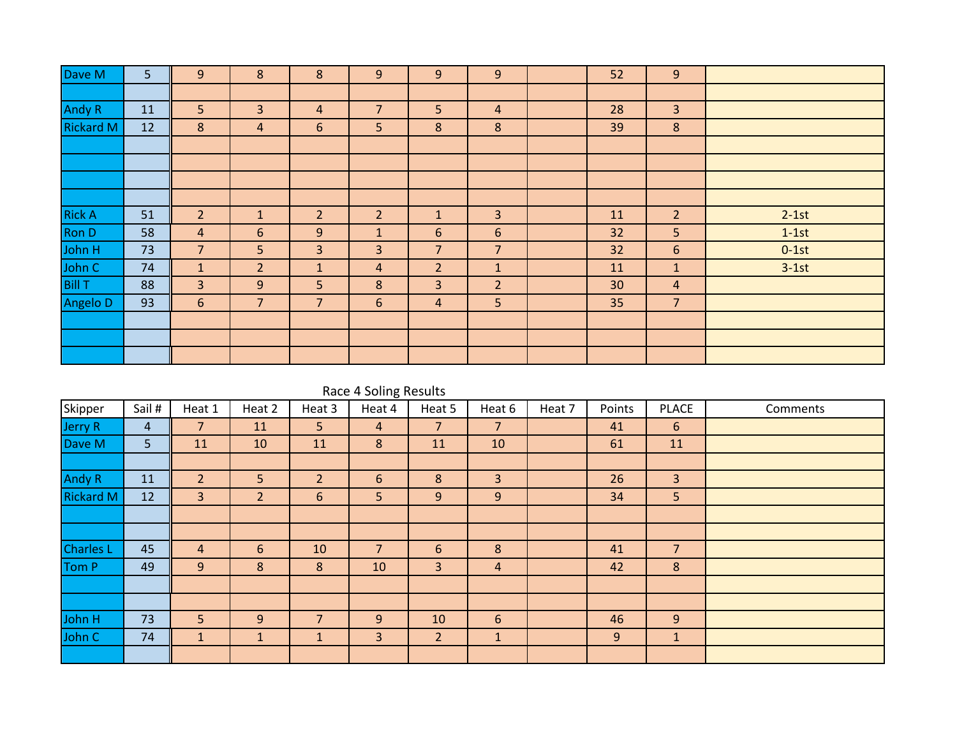| Dave M           | 5 <sup>5</sup> | $\overline{9}$ | 8              | 8              | 9               | $9$            | 9                | 52 | 9              |         |
|------------------|----------------|----------------|----------------|----------------|-----------------|----------------|------------------|----|----------------|---------|
|                  |                |                |                |                |                 |                |                  |    |                |         |
| Andy R           | 11             | 5              | $\overline{3}$ | $\overline{4}$ | $\overline{7}$  | 5 <sup>1</sup> | $\overline{a}$   | 28 | $\overline{3}$ |         |
| <b>Rickard M</b> | 12             | 8              | 4              | 6              | 5 <sub>o</sub>  | 8              | 8                | 39 | $8\phantom{1}$ |         |
|                  |                |                |                |                |                 |                |                  |    |                |         |
|                  |                |                |                |                |                 |                |                  |    |                |         |
|                  |                |                |                |                |                 |                |                  |    |                |         |
|                  |                |                |                |                |                 |                |                  |    |                |         |
| <b>Rick A</b>    | 51             | $\overline{2}$ | $\mathbf{1}$   | $\overline{2}$ | $\overline{2}$  | $\mathbf{1}$   | 3                | 11 | $\overline{2}$ | $2-1st$ |
| Ron D            | 58             | 4              | $6\phantom{1}$ | 9              | $\mathbf{1}$    | 6              | $\boldsymbol{6}$ | 32 | 5 <sub>o</sub> | $1-1st$ |
| John H<br>John C | 73             | $\overline{7}$ | 5              | $\overline{3}$ | $\overline{3}$  | $\overline{7}$ | $\overline{7}$   | 32 | 6              | $0-1st$ |
|                  | 74             | $\mathbf{1}$   | $\overline{2}$ | $\mathbf{1}$   | $\overline{4}$  | $\overline{2}$ | $\mathbf 1$      | 11 | $\mathbf{1}$   | $3-1st$ |
| <b>Bill T</b>    | 88             | 3 <sup>2</sup> | 9              | 5              | 8               | $\overline{3}$ | $\overline{2}$   | 30 | $\overline{4}$ |         |
| Angelo D         | 93             | $6\phantom{1}$ | $\overline{7}$ | $\overline{7}$ | $6\overline{6}$ | $\overline{a}$ | 5                | 35 | $\overline{7}$ |         |
|                  |                |                |                |                |                 |                |                  |    |                |         |
|                  |                |                |                |                |                 |                |                  |    |                |         |
|                  |                |                |                |                |                 |                |                  |    |                |         |

|                  | Race 4 Soling Results |                |                |                |                |                |                 |        |        |                |          |  |  |  |  |
|------------------|-----------------------|----------------|----------------|----------------|----------------|----------------|-----------------|--------|--------|----------------|----------|--|--|--|--|
| Skipper          | Sail #                | Heat 1         | Heat 2         | Heat 3         | Heat 4         | Heat 5         | Heat 6          | Heat 7 | Points | <b>PLACE</b>   | Comments |  |  |  |  |
| Jerry R          | 4                     | $\overline{7}$ | 11             | 5 <sup>1</sup> | $\overline{4}$ | $\overline{7}$ | $\overline{7}$  |        | 41     | 6              |          |  |  |  |  |
| Dave M           | 5 <sup>1</sup>        | 11             | 10             | 11             | 8              | 11             | 10              |        | 61     | 11             |          |  |  |  |  |
|                  |                       |                |                |                |                |                |                 |        |        |                |          |  |  |  |  |
| <b>Andy R</b>    | 11                    | $\overline{2}$ | 5              | 2              | 6              | 8              | 3               |        | 26     | $\overline{3}$ |          |  |  |  |  |
| <b>Rickard M</b> | 12                    | 3              | $\overline{2}$ | 6              | 5 <sup>1</sup> | 9              | 9               |        | 34     | 5              |          |  |  |  |  |
|                  |                       |                |                |                |                |                |                 |        |        |                |          |  |  |  |  |
|                  |                       |                |                |                |                |                |                 |        |        |                |          |  |  |  |  |
| <b>Charles L</b> | 45                    | $\overline{4}$ | 6              | 10             | $\overline{7}$ | $6\phantom{1}$ | 8               |        | 41     | $\overline{7}$ |          |  |  |  |  |
| Tom P            | 49                    | 9              | 8              | 8              | 10             | 3              | $\overline{4}$  |        | 42     | 8              |          |  |  |  |  |
|                  |                       |                |                |                |                |                |                 |        |        |                |          |  |  |  |  |
|                  |                       |                |                |                |                |                |                 |        |        |                |          |  |  |  |  |
| John H           | 73                    | 5              | 9              | $\overline{7}$ | 9              | 10             | $6\phantom{1}6$ |        | 46     | 9              |          |  |  |  |  |
| John C           | 74                    | $\mathbf{1}$   |                | $\mathbf 1$    | $\overline{3}$ | $\overline{2}$ | $\mathbf{1}$    |        | 9      | $\mathbf{1}$   |          |  |  |  |  |
|                  |                       |                |                |                |                |                |                 |        |        |                |          |  |  |  |  |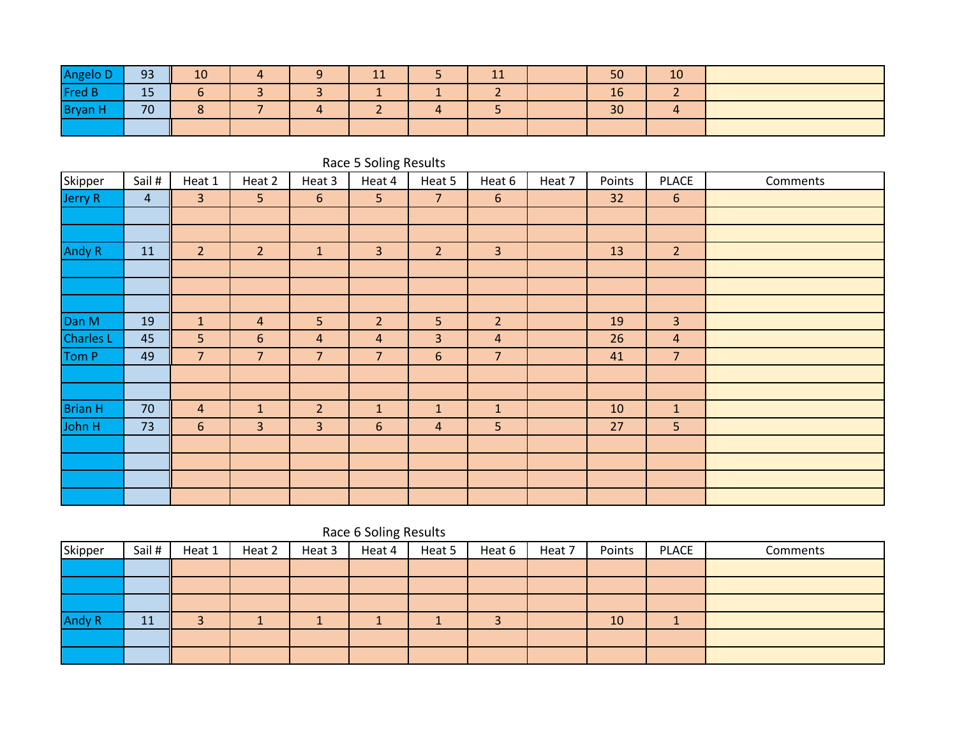| Angelo D/      | Q2       | 10     |  | $\overline{A}$ | . . | 50 | 10           |  |
|----------------|----------|--------|--|----------------|-----|----|--------------|--|
| <b>Fred B</b>  | 4F<br>IJ |        |  |                |     | 16 |              |  |
| <b>Bryan H</b> | 70       | $\sim$ |  |                |     | 30 | $\mathbf{H}$ |  |
|                |          |        |  |                |     |    |              |  |

|                    |                |                |                |                | Race 5 Soling Results |                |                  |        |        |                |          |
|--------------------|----------------|----------------|----------------|----------------|-----------------------|----------------|------------------|--------|--------|----------------|----------|
| Skipper<br>Jerry R | Sail #         | Heat 1         | Heat 2         | Heat 3         | Heat 4                | Heat 5         | Heat 6           | Heat 7 | Points | <b>PLACE</b>   | Comments |
|                    | $\overline{4}$ | 3              | 5              | $6\,$          | 5                     | $\overline{7}$ | $\boldsymbol{6}$ |        | 32     | 6              |          |
|                    |                |                |                |                |                       |                |                  |        |        |                |          |
|                    |                |                |                |                |                       |                |                  |        |        |                |          |
| Andy R             | 11             | $\overline{2}$ | $\overline{2}$ | $\vert$ 1      | $\overline{3}$        | $\overline{2}$ | 3                |        | 13     | $\overline{2}$ |          |
|                    |                |                |                |                |                       |                |                  |        |        |                |          |
|                    |                |                |                |                |                       |                |                  |        |        |                |          |
|                    |                |                |                |                |                       |                |                  |        |        |                |          |
| Dan M              | 19             | $\vert$ 1      | $\overline{a}$ | 5              | $\overline{2}$        | 5              | $\overline{2}$   |        | 19     | $\overline{3}$ |          |
|                    | 45             | 5              | 6              | 4              | $\overline{4}$        | $\overline{3}$ | 4                |        | 26     | $\overline{a}$ |          |
| Charles L<br>Tom P | 49             | $\overline{7}$ | $\overline{7}$ | $\overline{7}$ | $\overline{7}$        | $6\,$          | $\overline{7}$   |        | 41     | $\overline{7}$ |          |
|                    |                |                |                |                |                       |                |                  |        |        |                |          |
|                    |                |                |                |                |                       |                |                  |        |        |                |          |
| <b>Brian H</b>     | 70             | $\overline{a}$ | $\mathbf{1}$   | $\overline{2}$ | $\mathbf{1}$          | $\mathbf{1}$   | $\mathbf{1}$     |        | 10     | $\mathbf{1}$   |          |
| John H             | 73             | 6              | 3              | $\overline{3}$ | 6                     | $\overline{4}$ | 5                |        | 27     | 5              |          |
|                    |                |                |                |                |                       |                |                  |        |        |                |          |
|                    |                |                |                |                |                       |                |                  |        |        |                |          |
|                    |                |                |                |                |                       |                |                  |        |        |                |          |
|                    |                |                |                |                |                       |                |                  |        |        |                |          |

## Race 6 Soling Results

| Skipper       | Sail # | Heat 1 | Heat 2 | Heat 3 | Heat 4 | Heat 5 | Heat 6 | Heat 7 | Points | <b>PLACE</b> | Comments |
|---------------|--------|--------|--------|--------|--------|--------|--------|--------|--------|--------------|----------|
|               |        |        |        |        |        |        |        |        |        |              |          |
|               |        |        |        |        |        |        |        |        |        |              |          |
|               |        |        |        |        |        |        |        |        |        |              |          |
| <b>Andy R</b> | 11     |        |        |        |        |        |        |        | 10     |              |          |
|               |        |        |        |        |        |        |        |        |        |              |          |
|               |        |        |        |        |        |        |        |        |        |              |          |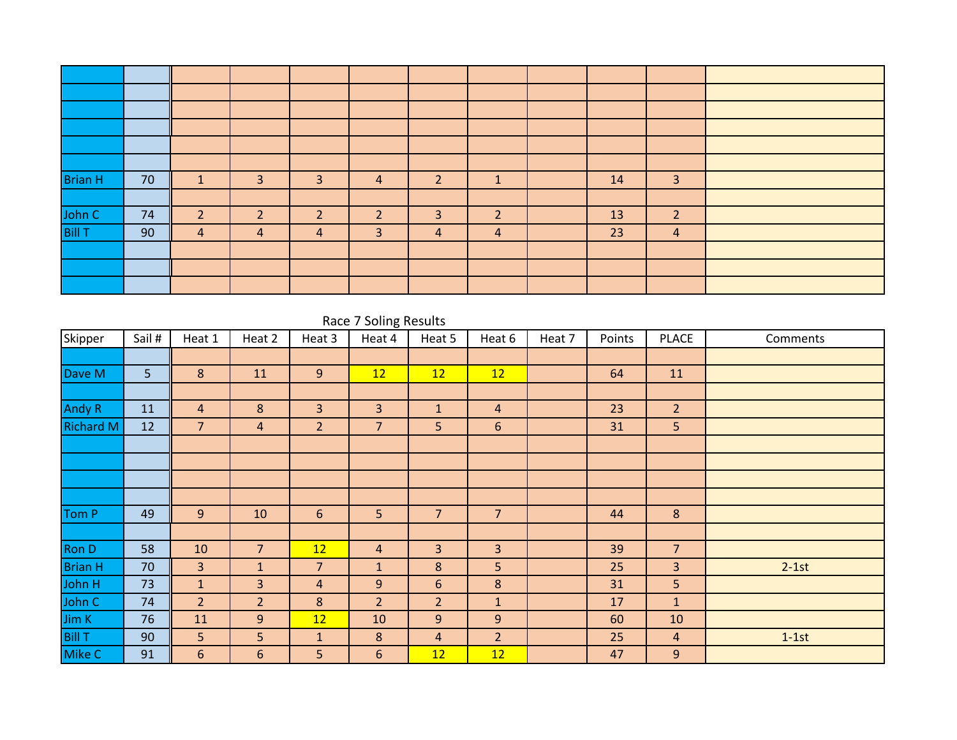| <b>Brian H</b>   | 70 | 1              | 3              | 3              | $\overline{4}$ | $\overline{2}$ | $\mathbf{1}$   | 14 | $\overline{3}$ |  |
|------------------|----|----------------|----------------|----------------|----------------|----------------|----------------|----|----------------|--|
|                  |    |                |                |                |                |                |                |    |                |  |
| John C<br>Bill T | 74 | 2              | $\overline{2}$ | $\overline{2}$ | $\overline{2}$ | 3              | $\overline{2}$ | 13 | $\overline{2}$ |  |
|                  | 90 | $\overline{4}$ | $\overline{4}$ | 4              | $\mathbf{3}$   | $\overline{4}$ | $\overline{4}$ | 23 | $\overline{4}$ |  |
|                  |    |                |                |                |                |                |                |    |                |  |
|                  |    |                |                |                |                |                |                |    |                |  |
|                  |    |                |                |                |                |                |                |    |                |  |

### Race 7 Soling Results

| Skipper          | Sail # | Heat 1         | Heat 2         | Heat 3         | Heat 4         | Heat 5          | Heat 6         | Heat 7 | Points | <b>PLACE</b>   | Comments |
|------------------|--------|----------------|----------------|----------------|----------------|-----------------|----------------|--------|--------|----------------|----------|
|                  |        |                |                |                |                |                 |                |        |        |                |          |
| Dave M           | 5      | 8              | 11             | 9              | 12             | 12              | 12             |        | 64     | 11             |          |
|                  |        |                |                |                |                |                 |                |        |        |                |          |
| <b>Andy R</b>    | 11     | $\overline{4}$ | 8              | $\overline{3}$ | $\overline{3}$ | $\mathbf{1}$    | $\overline{4}$ |        | 23     | 2 <sup>1</sup> |          |
| <b>Richard M</b> | 12     | $\overline{7}$ | $\overline{4}$ | $\overline{2}$ | $\overline{7}$ | 5               | $6\phantom{1}$ |        | 31     | 5 <sup>1</sup> |          |
|                  |        |                |                |                |                |                 |                |        |        |                |          |
|                  |        |                |                |                |                |                 |                |        |        |                |          |
|                  |        |                |                |                |                |                 |                |        |        |                |          |
|                  |        |                |                |                |                |                 |                |        |        |                |          |
| Tom P            | 49     | 9              | 10             | $6\phantom{1}$ | 5              | $\overline{7}$  | $\overline{7}$ |        | 44     | $8\phantom{1}$ |          |
|                  |        |                |                |                |                |                 |                |        |        |                |          |
| Ron D            | 58     | 10             | $\overline{7}$ | 12             | $\overline{4}$ | 3               | 3              |        | 39     | $\overline{7}$ |          |
| <b>Brian H</b>   | 70     | $\overline{3}$ | $\mathbf{1}$   | $\overline{7}$ | $\mathbf{1}$   | 8               | 5              |        | 25     | $\overline{3}$ | $2-1st$  |
| John H           | 73     | $\mathbf{1}$   | $\overline{3}$ | $\overline{4}$ | 9              | $6\phantom{.}6$ | 8              |        | 31     | 5 <sup>1</sup> |          |
| John C           | 74     | 2 <sup>1</sup> | 2 <sup>1</sup> | 8              | 2 <sup>1</sup> | 2 <sup>2</sup>  | $\mathbf{1}$   |        | 17     | $\mathbf{1}$   |          |
| Jim K            | 76     | 11             | 9              | 12             | 10             | 9               | $\overline{9}$ |        | 60     | 10             |          |
| <b>Bill T</b>    | 90     | 5 <sup>1</sup> | 5              | $\mathbf{1}$   | $8\phantom{1}$ | $\overline{4}$  | $\overline{2}$ |        | 25     | $\overline{4}$ | $1-1st$  |
| Mike C           | 91     | 6              | 6              | 5              | $6\phantom{1}$ | 12              | 12             |        | 47     | 9              |          |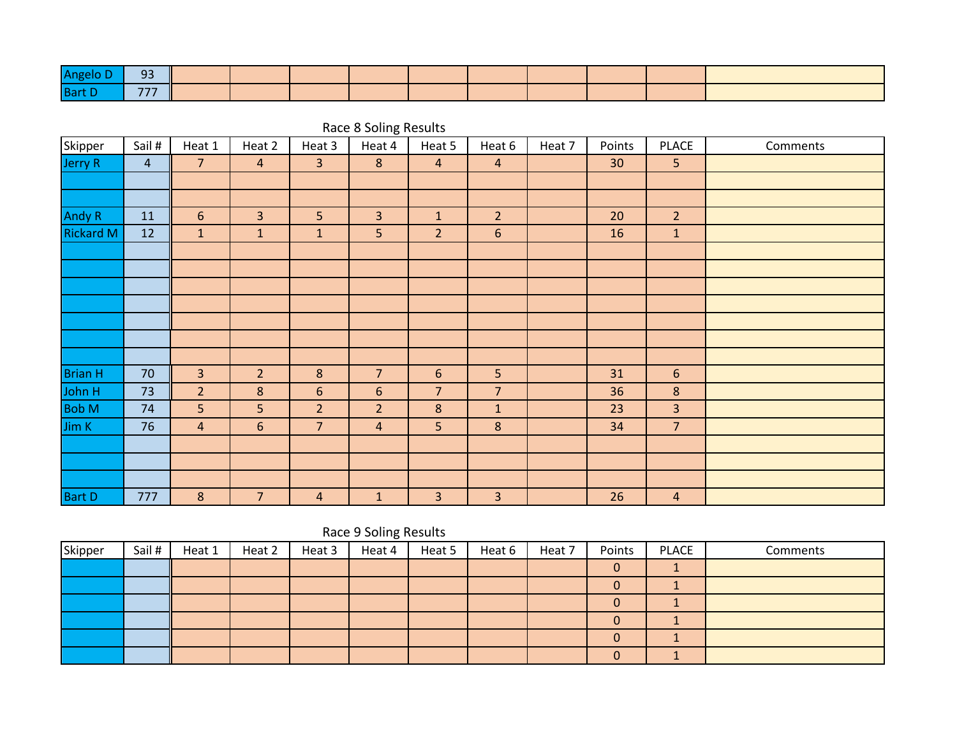| <b>Bart</b> | $- -$ |  |  |  |  |  |
|-------------|-------|--|--|--|--|--|

|                  | Race & Solling Results |                |                |                 |                |                |                  |        |        |                |          |  |  |  |
|------------------|------------------------|----------------|----------------|-----------------|----------------|----------------|------------------|--------|--------|----------------|----------|--|--|--|
| Skipper          | Sail #                 | Heat 1         | Heat 2         | Heat 3          | Heat 4         | Heat 5         | Heat 6           | Heat 7 | Points | <b>PLACE</b>   | Comments |  |  |  |
| Jerry R          | $\overline{4}$         | $\overline{7}$ | $\overline{4}$ | $\overline{3}$  | 8              | $\overline{a}$ | $\overline{4}$   |        | 30     | 5 <sup>1</sup> |          |  |  |  |
|                  |                        |                |                |                 |                |                |                  |        |        |                |          |  |  |  |
|                  |                        |                |                |                 |                |                |                  |        |        |                |          |  |  |  |
| Andy R           | 11                     | $\sqrt{6}$     | $\overline{3}$ | 5               | $\overline{3}$ | $\mathbf{1}$   | $\overline{2}$   |        | 20     | 2 <sup>2</sup> |          |  |  |  |
| <b>Rickard M</b> | 12                     | $\mathbf{1}$   | $\mathbf{1}$   | $\mathbf{1}$    | 5 <sup>1</sup> | $\overline{2}$ | $\boldsymbol{6}$ |        | 16     | $\mathbf{1}$   |          |  |  |  |
|                  |                        |                |                |                 |                |                |                  |        |        |                |          |  |  |  |
|                  |                        |                |                |                 |                |                |                  |        |        |                |          |  |  |  |
|                  |                        |                |                |                 |                |                |                  |        |        |                |          |  |  |  |
|                  |                        |                |                |                 |                |                |                  |        |        |                |          |  |  |  |
|                  |                        |                |                |                 |                |                |                  |        |        |                |          |  |  |  |
|                  |                        |                |                |                 |                |                |                  |        |        |                |          |  |  |  |
|                  |                        |                |                |                 |                |                |                  |        |        |                |          |  |  |  |
| <b>Brian H</b>   | 70                     | $\overline{3}$ | $\overline{2}$ | $\bf 8$         | $\overline{7}$ | $6\phantom{1}$ | 5                |        | 31     | 6              |          |  |  |  |
| John H           | 73                     | $\overline{2}$ | 8              | $6\phantom{1}6$ | $6\,$          | $\overline{7}$ | $\overline{7}$   |        | 36     | 8              |          |  |  |  |
| <b>Bob M</b>     | 74                     | 5              | 5              | $\overline{2}$  | $\overline{2}$ | 8              | $\mathbf{1}$     |        | 23     | $\overline{3}$ |          |  |  |  |
| Jim K            | 76                     | $\overline{4}$ | $6\phantom{1}$ | $\overline{7}$  | $\overline{4}$ | 5              | $\boldsymbol{8}$ |        | 34     | $\overline{7}$ |          |  |  |  |
|                  |                        |                |                |                 |                |                |                  |        |        |                |          |  |  |  |
|                  |                        |                |                |                 |                |                |                  |        |        |                |          |  |  |  |
|                  |                        |                |                |                 |                |                |                  |        |        |                |          |  |  |  |
| <b>Bart D</b>    | 777                    | $\bf 8$        | $\overline{7}$ | $\overline{4}$  | $\mathbf 1$    | 3              | 3                |        | 26     | $\overline{4}$ |          |  |  |  |

#### Race 8 Soling Results

# Race 9 Soling Results

| Skipper | Sail # | Heat 1 | Heat 2 | Heat 3 | Heat 4 | Heat 5 | Heat 6 | Heat 7 | Points | PLACE | Comments |
|---------|--------|--------|--------|--------|--------|--------|--------|--------|--------|-------|----------|
|         |        |        |        |        |        |        |        |        |        |       |          |
|         |        |        |        |        |        |        |        |        |        |       |          |
|         |        |        |        |        |        |        |        |        |        |       |          |
|         |        |        |        |        |        |        |        |        |        |       |          |
|         |        |        |        |        |        |        |        |        |        |       |          |
|         |        |        |        |        |        |        |        |        |        |       |          |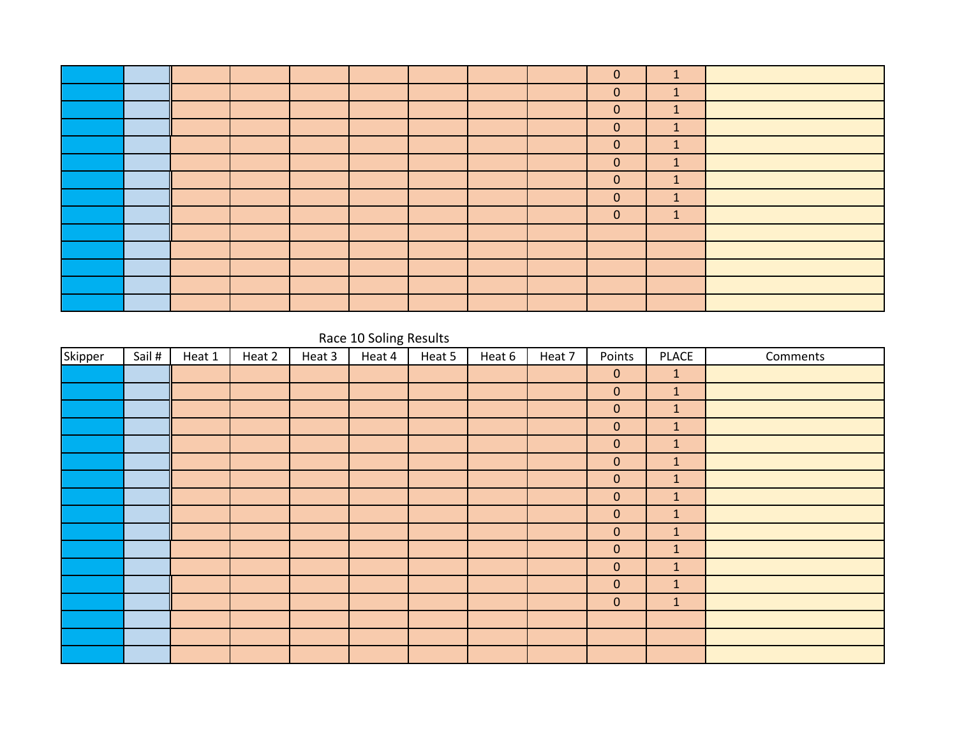|  |  |  |  | $\mathbf{0}$   | $\mathbf{1}$ |  |
|--|--|--|--|----------------|--------------|--|
|  |  |  |  | $\overline{0}$ | $\mathbf{1}$ |  |
|  |  |  |  | $\overline{0}$ | $\vert$ 1    |  |
|  |  |  |  | $\overline{0}$ | $\mathbf{1}$ |  |
|  |  |  |  | $\mathbf{0}$   | $\mathbf{1}$ |  |
|  |  |  |  | $\overline{0}$ | $\mathbf{1}$ |  |
|  |  |  |  | $\mathbf{0}$   | $\mathbf{1}$ |  |
|  |  |  |  | $\mathbf{0}$   | $\mathbf{1}$ |  |
|  |  |  |  | $\overline{0}$ | $\mathbf{1}$ |  |
|  |  |  |  |                |              |  |
|  |  |  |  |                |              |  |
|  |  |  |  |                |              |  |
|  |  |  |  |                |              |  |
|  |  |  |  |                |              |  |

### Race 10 Soling Results

| Skipper | Sail # | Heat 1 | Heat 2 | Heat 3 | Heat 4 | Heat 5 | Heat 6 | Heat 7 | Points       | <b>PLACE</b> | Comments |
|---------|--------|--------|--------|--------|--------|--------|--------|--------|--------------|--------------|----------|
|         |        |        |        |        |        |        |        |        | $\mathbf{0}$ | $\mathbf{1}$ |          |
|         |        |        |        |        |        |        |        |        | $\pmb{0}$    | $\mathbf{1}$ |          |
|         |        |        |        |        |        |        |        |        | $\mathbf 0$  | $\mathbf{1}$ |          |
|         |        |        |        |        |        |        |        |        | $\mathbf 0$  | $\mathbf{1}$ |          |
|         |        |        |        |        |        |        |        |        | $\mathbf 0$  | $\mathbf{1}$ |          |
|         |        |        |        |        |        |        |        |        | $\pmb{0}$    | $\mathbf{1}$ |          |
|         |        |        |        |        |        |        |        |        | $\pmb{0}$    | $\mathbf{1}$ |          |
|         |        |        |        |        |        |        |        |        | $\pmb{0}$    | $\mathbf{1}$ |          |
|         |        |        |        |        |        |        |        |        | $\pmb{0}$    | $\mathbf{1}$ |          |
|         |        |        |        |        |        |        |        |        | $\pmb{0}$    | $\mathbf{1}$ |          |
|         |        |        |        |        |        |        |        |        | $\pmb{0}$    | $\mathbf{1}$ |          |
|         |        |        |        |        |        |        |        |        | $\pmb{0}$    | $\mathbf{1}$ |          |
|         |        |        |        |        |        |        |        |        | $\pmb{0}$    | $\mathbf{1}$ |          |
|         |        |        |        |        |        |        |        |        | $\pmb{0}$    | $\mathbf{1}$ |          |
|         |        |        |        |        |        |        |        |        |              |              |          |
|         |        |        |        |        |        |        |        |        |              |              |          |
|         |        |        |        |        |        |        |        |        |              |              |          |